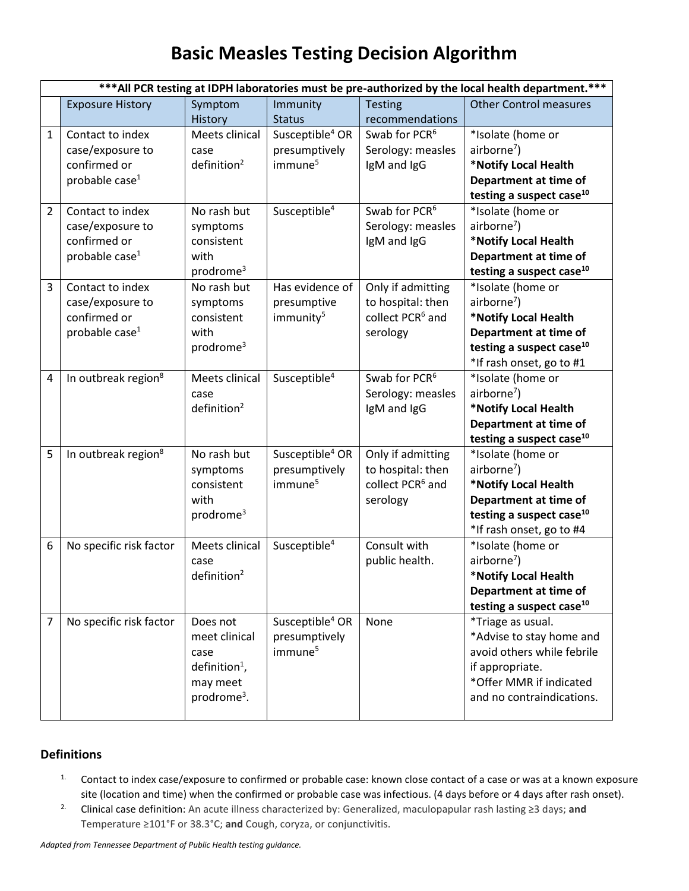## **Basic Measles Testing Decision Algorithm**

|                | *** All PCR testing at IDPH laboratories must be pre-authorized by the local health department.*** |                                                                                                       |                                                                     |                                                                                    |                                                                                                                                                                   |  |  |
|----------------|----------------------------------------------------------------------------------------------------|-------------------------------------------------------------------------------------------------------|---------------------------------------------------------------------|------------------------------------------------------------------------------------|-------------------------------------------------------------------------------------------------------------------------------------------------------------------|--|--|
|                | <b>Exposure History</b>                                                                            | Symptom                                                                                               | Immunity                                                            | <b>Testing</b>                                                                     | <b>Other Control measures</b>                                                                                                                                     |  |  |
|                |                                                                                                    | History                                                                                               | <b>Status</b>                                                       | recommendations                                                                    |                                                                                                                                                                   |  |  |
| $\mathbf{1}$   | Contact to index<br>case/exposure to<br>confirmed or<br>probable case $1$                          | Meets clinical<br>case<br>definition <sup>2</sup>                                                     | Susceptible <sup>4</sup> OR<br>presumptively<br>immune <sup>5</sup> | Swab for PCR <sup>6</sup><br>Serology: measles<br>IgM and IgG                      | *Isolate (home or<br>airborne <sup>7</sup> )<br>*Notify Local Health<br>Department at time of<br>testing a suspect case <sup>10</sup>                             |  |  |
| 2              | Contact to index<br>case/exposure to<br>confirmed or<br>probable case <sup>1</sup>                 | No rash but<br>symptoms<br>consistent<br>with<br>prodrome <sup>3</sup>                                | Susceptible <sup>4</sup>                                            | Swab for PCR <sup>6</sup><br>Serology: measles<br>IgM and IgG                      | *Isolate (home or<br>$airborne7$ )<br>*Notify Local Health<br>Department at time of<br>testing a suspect case <sup>10</sup>                                       |  |  |
| 3              | Contact to index<br>case/exposure to<br>confirmed or<br>probable case <sup>1</sup>                 | No rash but<br>symptoms<br>consistent<br>with<br>prodrome <sup>3</sup>                                | Has evidence of<br>presumptive<br>immunity <sup>5</sup>             | Only if admitting<br>to hospital: then<br>collect PCR <sup>6</sup> and<br>serology | *Isolate (home or<br>airborne <sup>7</sup> )<br>*Notify Local Health<br>Department at time of<br>testing a suspect case <sup>10</sup><br>*If rash onset, go to #1 |  |  |
| 4              | In outbreak region <sup>8</sup>                                                                    | Meets clinical<br>case<br>definition <sup>2</sup>                                                     | Susceptible <sup>4</sup>                                            | Swab for PCR <sup>6</sup><br>Serology: measles<br>IgM and IgG                      | *Isolate (home or<br>airborne <sup>7</sup> )<br>*Notify Local Health<br>Department at time of<br>testing a suspect case <sup>10</sup>                             |  |  |
| 5              | In outbreak region <sup>8</sup>                                                                    | No rash but<br>symptoms<br>consistent<br>with<br>prodrome <sup>3</sup>                                | Susceptible <sup>4</sup> OR<br>presumptively<br>immune <sup>5</sup> | Only if admitting<br>to hospital: then<br>collect PCR <sup>6</sup> and<br>serology | *Isolate (home or<br>$airborne7$ )<br>*Notify Local Health<br>Department at time of<br>testing a suspect case <sup>10</sup><br>*If rash onset, go to #4           |  |  |
| 6              | No specific risk factor                                                                            | Meets clinical<br>case<br>definition <sup>2</sup>                                                     | Susceptible <sup>4</sup>                                            | Consult with<br>public health.                                                     | *Isolate (home or<br>airborne <sup>7</sup> )<br>*Notify Local Health<br>Department at time of<br>testing a suspect case <sup>10</sup>                             |  |  |
| $\overline{7}$ | No specific risk factor                                                                            | Does not<br>meet clinical<br>case<br>definition <sup>1</sup> ,<br>may meet<br>prodrome <sup>3</sup> . | Susceptible <sup>4</sup> OR<br>presumptively<br>immune <sup>5</sup> | None                                                                               | *Triage as usual.<br>*Advise to stay home and<br>avoid others while febrile<br>if appropriate.<br>*Offer MMR if indicated<br>and no contraindications.            |  |  |

## **Definitions**

- <sup>1.</sup> Contact to index case/exposure to confirmed or probable case: known close contact of a case or was at a known exposure site (location and time) when the confirmed or probable case was infectious. (4 days before or 4 days after rash onset).
- 2. Clinical case definition: An acute illness characterized by: Generalized, maculopapular rash lasting ≥3 days; **and** Temperature ≥101°F or 38.3°C; **and** Cough, coryza, or conjunctivitis.